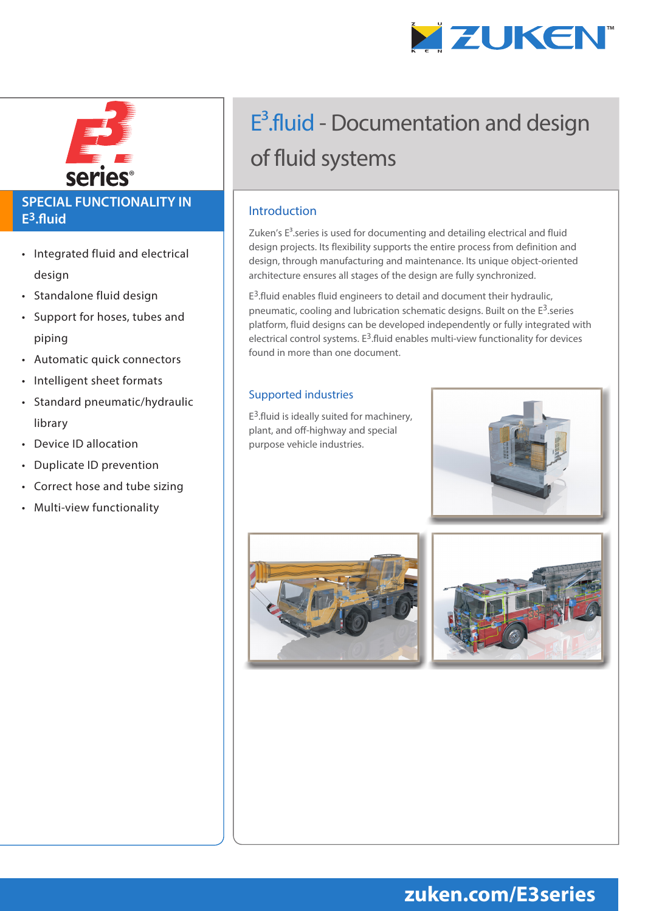



### **SPECIAL FUNCTIONALITY IN E3.fluid**

- Integrated fluid and electrical design
- Standalone fluid design
- Support for hoses, tubes and piping
- Automatic quick connectors
- Intelligent sheet formats
- Standard pneumatic/hydraulic library
- Device ID allocation
- Duplicate ID prevention
- Correct hose and tube sizing
- Multi-view functionality

# E<sup>3</sup>.fluid - Documentation and design of fluid systems

#### Introduction

Zuken's  $E<sup>3</sup>$ .series is used for documenting and detailing electrical and fluid design projects. Its flexibility supports the entire process from definition and design, through manufacturing and maintenance. Its unique object-oriented architecture ensures all stages of the design are fully synchronized.

 $E^3$ .fluid enables fluid engineers to detail and document their hydraulic, pneumatic, cooling and lubrication schematic designs. Built on the  $E^3$  series platform, fluid designs can be developed independently or fully integrated with electrical control systems.  $E^3$ .fluid enables multi-view functionality for devices found in more than one document.

#### Supported industries

 $E^3$ .fluid is ideally suited for machinery, plant, and off-highway and special purpose vehicle industries.







## **zuken.com/E3series**